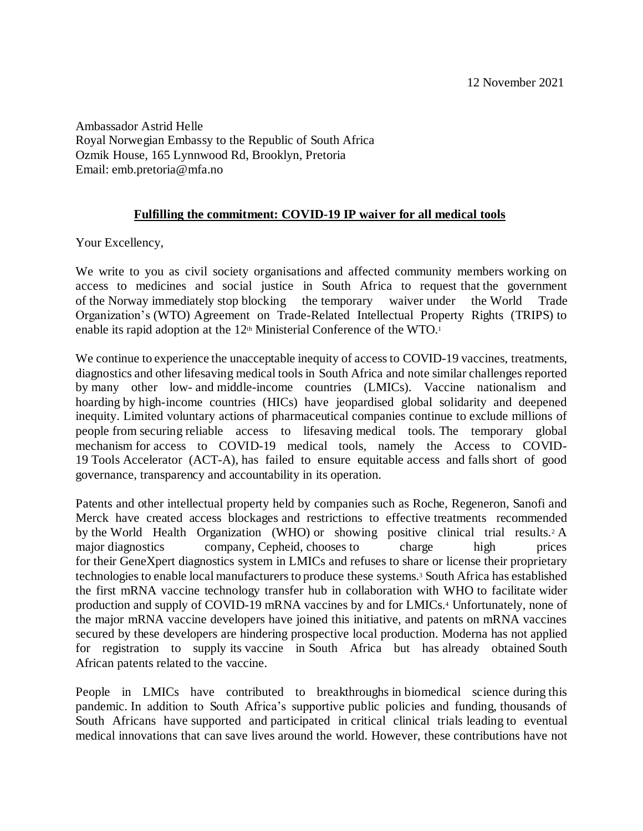Ambassador Astrid Helle Royal Norwegian Embassy to the Republic of South Africa Ozmik House, 165 Lynnwood Rd, Brooklyn, Pretoria Email: emb.pretoria@mfa.no

## **Fulfilling the commitment: COVID-19 IP waiver for all medical tools**

Your Excellency,

We write to you as civil society organisations and affected community members working on access to medicines and social justice in South Africa to request that the government of the Norway immediately stop blocking the temporary waiver under the World Trade Organization's (WTO) Agreement on Trade-Related Intellectual Property Rights (TRIPS) to enable its rapid adoption at the 12<sup>th</sup> Ministerial Conference of the WTO.<sup>1</sup>

We continue to experience the unacceptable inequity of access to COVID-19 vaccines, treatments, diagnostics and other lifesaving medical tools in South Africa and note similar challenges reported by many other low- and middle-income countries (LMICs). Vaccine nationalism and hoarding by high-income countries (HICs) have jeopardised global solidarity and deepened inequity. Limited voluntary actions of pharmaceutical companies continue to exclude millions of people from securing reliable access to lifesaving medical tools. The temporary global mechanism for access to COVID-19 medical tools, namely the Access to COVID-19 Tools Accelerator (ACT-A), has failed to ensure equitable access and falls short of good governance, transparency and accountability in its operation.

Patents and other intellectual property held by companies such as Roche, Regeneron, Sanofi and Merck have created access blockages and restrictions to effective treatments recommended by the World Health Organization (WHO) or showing positive clinical trial results.<sup>2</sup> A major diagnostics company, Cepheid, chooses to charge high prices for their GeneXpert diagnostics system in LMICs and refuses to share or license their proprietary technologies to enable local manufacturers to produce these systems.<sup>3</sup> South Africa has established the first mRNA vaccine technology transfer hub in collaboration with WHO to facilitate wider production and supply of COVID-19 mRNA vaccines by and for LMICs.<sup>4</sup> Unfortunately, none of the major mRNA vaccine developers have joined this initiative, and patents on mRNA vaccines secured by these developers are hindering prospective local production. Moderna has not applied for registration to supply its vaccine in South Africa but has already obtained South African patents related to the vaccine.

People in LMICs have contributed to breakthroughs in biomedical science during this pandemic. In addition to South Africa's supportive public policies and funding, thousands of South Africans have supported and participated in critical clinical trials leading to eventual medical innovations that can save lives around the world. However, these contributions have not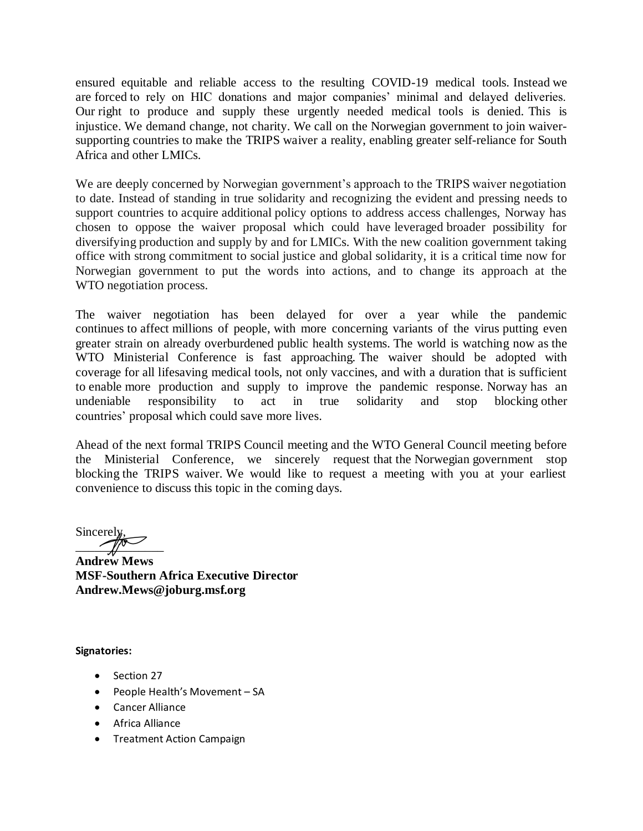ensured equitable and reliable access to the resulting COVID-19 medical tools. Instead we are forced to rely on HIC donations and major companies' minimal and delayed deliveries. Our right to produce and supply these urgently needed medical tools is denied. This is injustice. We demand change, not charity. We call on the Norwegian government to join waiversupporting countries to make the TRIPS waiver a reality, enabling greater self-reliance for South Africa and other LMICs.

We are deeply concerned by Norwegian government's approach to the TRIPS waiver negotiation to date. Instead of standing in true solidarity and recognizing the evident and pressing needs to support countries to acquire additional policy options to address access challenges, Norway has chosen to oppose the waiver proposal which could have leveraged broader possibility for diversifying production and supply by and for LMICs. With the new coalition government taking office with strong commitment to social justice and global solidarity, it is a critical time now for Norwegian government to put the words into actions, and to change its approach at the WTO negotiation process.

The waiver negotiation has been delayed for over a year while the pandemic continues to affect millions of people, with more concerning variants of the virus putting even greater strain on already overburdened public health systems. The world is watching now as the WTO Ministerial Conference is fast approaching. The waiver should be adopted with coverage for all lifesaving medical tools, not only vaccines, and with a duration that is sufficient to enable more production and supply to improve the pandemic response. Norway has an undeniable responsibility to act in true solidarity and stop blocking other countries' proposal which could save more lives.

Ahead of the next formal TRIPS Council meeting and the WTO General Council meeting before the Ministerial Conference, we sincerely request that the Norwegian government stop blocking the TRIPS waiver. We would like to request a meeting with you at your earliest convenience to discuss this topic in the coming days.

Sincerely,  $\mathbb{Z}$ 

**Andrew Mews MSF-Southern Africa Executive Director Andrew.Mews@joburg.msf.org**

**Signatories:** 

- Section 27
- People Health's Movement SA
- Cancer Alliance
- Africa Alliance
- Treatment Action Campaign